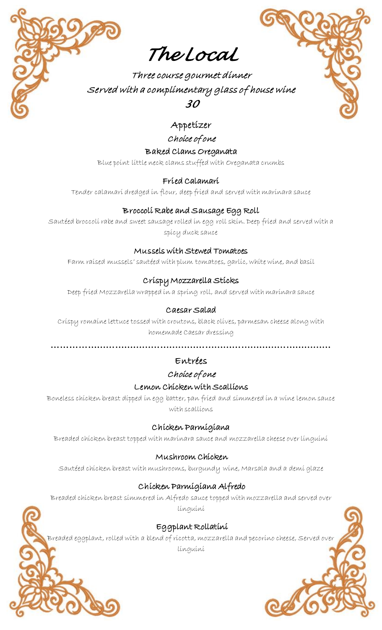

Three course gourmet dinner Served with a complimentary glass of house wine *30*

# Appetizer

Choice of one

Baked Clams Oreganata

Blue point little neck clams stuffed with Oreganata crumbs

# Fried Calamari

Tender calamari dredged in flour, deep fried and served with marinara sauce

## Broccoli Rabe and Sausage Egg Roll

Sautéed broccoli rabe and sweet sausage rolled in egg roll skin. Deep fried and served with a spicy duck sauce

#### Mussels with Stewed Tomatoes

Farm raised mussels' sautéed with plum tomatoes, garlic, white wine, and basil

# Crispy Mozzarella Sticks

Deep fried Mozzarella wrapped in a spring roll, and served with marinara sauce

## Caesar Salad

Crispy romaine lettuce tossed with croutons, black olives, parmesan cheese along with homemade Caesar dressing

…………………………………………………………………………………

# Entrées

#### Choice of one

#### Lemon Chicken with Scallions

Boneless chicken breast dipped in egg batter, pan fried and simmered in a wine lemon sauce with scallions

#### Chicken Parmigiana

Breaded chicken breast topped with marinara sauce and mozzarella cheese over linguini

#### Mushroom Chicken

Sautéed chicken breast with mushrooms, burgundy wine, Marsala and a demi glaze

# Chicken Parmigiana Alfredo

Breaded chicken breast simmered in Alfredo sauce topped with mozzarella and served over linguini

#### Eggplant Rollatini

Breaded eggplant, rolled with a blend of ricotta, mozzarella and pecorino cheese, Served over linguini